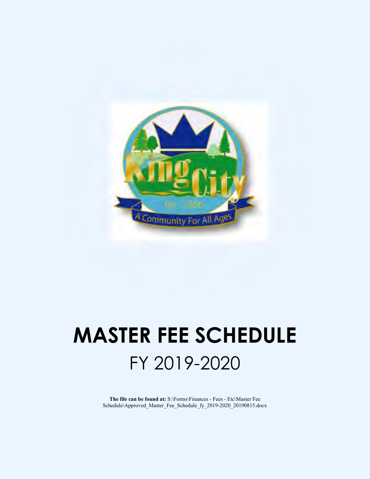

# **MASTER FEE SCHEDULE** FY 2019-2020

**The file can be found at:** S:\Forms\Finances - Fees - Etc\Master Fee Schedule\Approved\_Master\_Fee\_Schedule\_fy\_2019-2020\_20190815.docx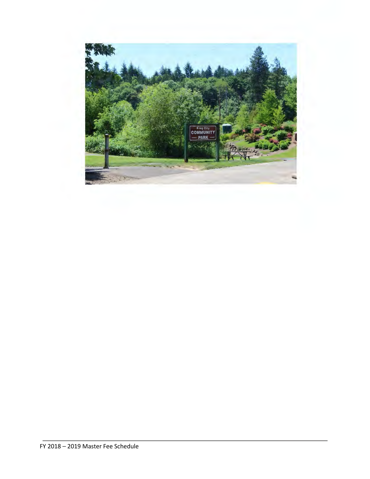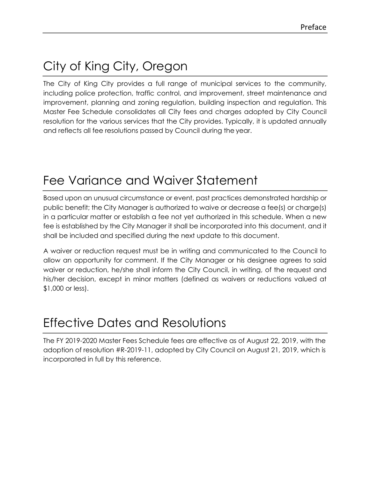# City of King City, Oregon

The City of King City provides a full range of municipal services to the community, including police protection, traffic control, and improvement, street maintenance and improvement, planning and zoning regulation, building inspection and regulation. This Master Fee Schedule consolidates all City fees and charges adopted by City Council resolution for the various services that the City provides. Typically, it is updated annually and reflects all fee resolutions passed by Council during the year.

# Fee Variance and Waiver Statement

Based upon an unusual circumstance or event, past practices demonstrated hardship or public benefit; the City Manager is authorized to waive or decrease a fee(s) or charge(s) in a particular matter or establish a fee not yet authorized in this schedule. When a new fee is established by the City Manager it shall be incorporated into this document, and it shall be included and specified during the next update to this document.

A waiver or reduction request must be in writing and communicated to the Council to allow an opportunity for comment. If the City Manager or his designee agrees to said waiver or reduction, he/she shall inform the City Council, in writing, of the request and his/her decision, except in minor matters (defined as waivers or reductions valued at \$1,000 or less).

# Effective Dates and Resolutions

The FY 2019-2020 Master Fees Schedule fees are effective as of August 22, 2019, with the adoption of resolution #R-2019-11, adopted by City Council on August 21, 2019, which is incorporated in full by this reference.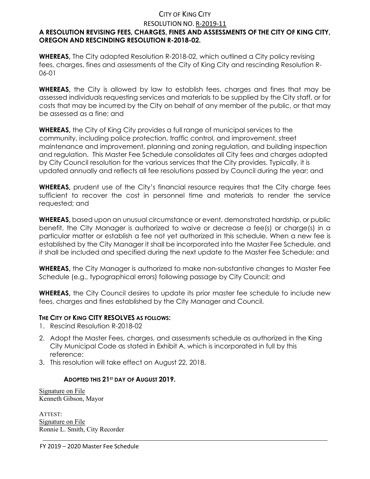#### CITY OF KING CITY

#### RESOLUTION NO. R-2019-11

#### **A RESOLUTION REVISING FEES, CHARGES, FINES AND ASSESSMENTS OF THE CITY OF KING CITY, OREGON AND RESCINDING RESOLUTION R-2018-02.**

**WHEREAS,** The City adopted Resolution R-2018-02, which outlined a City policy revising fees, charges, fines and assessments of the City of King City and rescinding Resolution R-06-01

**WHEREAS,** the City is allowed by law to establish fees, charges and fines that may be assessed individuals requesting services and materials to be supplied by the City staff, or for costs that may be incurred by the City on behalf of any member of the public, or that may be assessed as a fine; and

**WHEREAS,** the City of King City provides a full range of municipal services to the community, including police protection, traffic control, and improvement, street maintenance and improvement, planning and zoning regulation, and building inspection and regulation. This Master Fee Schedule consolidates all City fees and charges adopted by City Council resolution for the various services that the City provides. Typically, it is updated annually and reflects all fee resolutions passed by Council during the year; and

**WHEREAS,** prudent use of the City's financial resource requires that the City charge fees sufficient to recover the cost in personnel time and materials to render the service requested; and

**WHEREAS,** based upon an unusual circumstance or event, demonstrated hardship, or public benefit, the City Manager is authorized to waive or decrease a fee(s) or charge(s) in a particular matter or establish a fee not yet authorized in this schedule. When a new fee is established by the City Manager it shall be incorporated into the Master Fee Schedule, and it shall be included and specified during the next update to the Master Fee Schedule; and

**WHEREAS,** the City Manager is authorized to make non-substantive changes to Master Fee Schedule (e.g., typographical errors) following passage by City Council; and

**WHEREAS,** the City Council desires to update its prior master fee schedule to include new fees, charges and fines established by the City Manager and Council.

#### **THE CITY OF KING CITY RESOLVES AS FOLLOWS:**

- 1. Rescind Resolution R-2018-02
- 2. Adopt the Master Fees, charges, and assessments schedule as authorized in the King City Municipal Code as stated in Exhibit A, which is incorporated in full by this reference:
- 3. This resolution will take effect on August 22, 2018.

#### **ADOPTED THIS 21ST DAY OF AUGUST 2019.**

Signature on File Kenneth Gibson, Mayor

ATTEST: Signature on File Ronnie L. Smith, City Recorder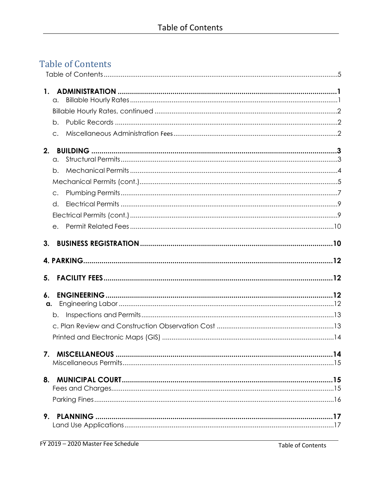# <span id="page-4-0"></span>**Table of Contents**

| $1_{-}$  | $\alpha$ .<br>b.<br>$C_{1}$            |  |
|----------|----------------------------------------|--|
| 2.       | a.<br>b.<br>C <sub>1</sub><br>d.<br>e. |  |
| 3.       |                                        |  |
| 5.       |                                        |  |
| 6.<br>α. | b.                                     |  |
| 7.       |                                        |  |
| 8.       |                                        |  |
|          |                                        |  |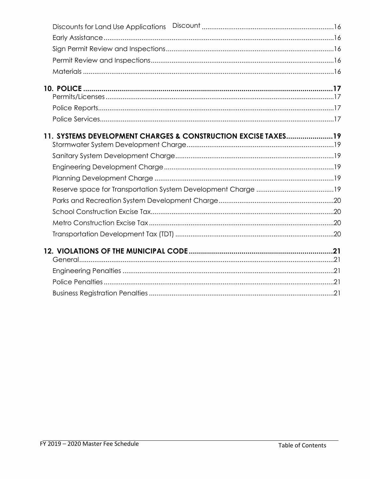| 11. SYSTEMS DEVELOPMENT CHARGES & CONSTRUCTION EXCISE TAXES19 |  |
|---------------------------------------------------------------|--|
|                                                               |  |
|                                                               |  |
|                                                               |  |
|                                                               |  |
|                                                               |  |
|                                                               |  |
|                                                               |  |
|                                                               |  |
|                                                               |  |
|                                                               |  |
|                                                               |  |
|                                                               |  |
|                                                               |  |
|                                                               |  |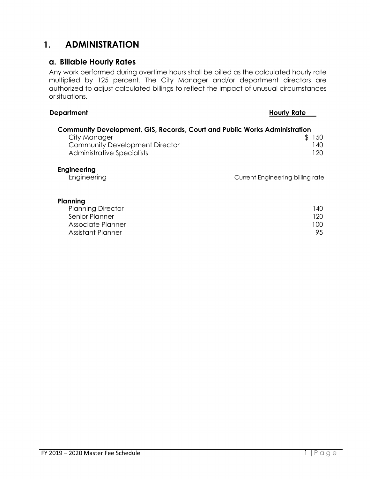## <span id="page-6-1"></span><span id="page-6-0"></span>**1. ADMINISTRATION**

#### **a. Billable Hourly Rates**

Any work performed during overtime hours shall be billed as the calculated hourly rate multiplied by 125 percent. The City Manager and/or department directors are authorized to adjust calculated billings to reflect the impact of unusual circumstances orsituations.

| Department                                                                 | <b>Hourly Rate</b>               |
|----------------------------------------------------------------------------|----------------------------------|
| Community Development, GIS, Records, Court and Public Works Administration |                                  |
| City Manager<br><b>Community Development Director</b>                      | 150<br>Ъ<br>140                  |
| Administrative Specialists                                                 | 120                              |
| <b>Engineering</b><br>Engineering                                          | Current Engineering billing rate |
| Planning                                                                   |                                  |

| <b>Planning Director</b> | 40  |
|--------------------------|-----|
| Senior Planner           | 120 |
| Associate Planner        | 100 |
| Assistant Planner        | 95  |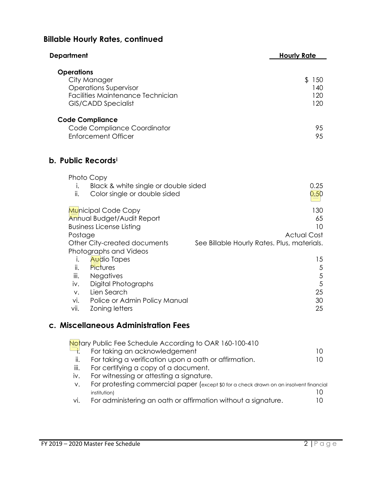# <span id="page-7-0"></span>**Billable Hourly Rates, continued**

<span id="page-7-1"></span>

| <b>Department</b>                                                                                                                                                                            | <b>Hourly Rate</b>                                                                   |
|----------------------------------------------------------------------------------------------------------------------------------------------------------------------------------------------|--------------------------------------------------------------------------------------|
| <b>Operations</b><br>City Manager<br><b>Operations Supervisor</b><br>Facilities Maintenance Technician<br><b>GIS/CADD Specialist</b>                                                         | \$150<br>140<br>120<br>120                                                           |
| <b>Code Compliance</b><br>Code Compliance Coordinator<br><b>Enforcement Officer</b>                                                                                                          | 95<br>95                                                                             |
| b. Public Records <sup>i</sup>                                                                                                                                                               |                                                                                      |
| Photo Copy<br>Black & white single or double sided<br>Ĭ.<br>ii.<br>Color single or double sided                                                                                              | 0.25<br>0.50                                                                         |
| Municipal Code Copy<br>Annual Budget/Audit Report<br><b>Business License Listing</b><br>Postage<br>Other City-created documents<br>Photographs and Videos                                    | 130<br>65<br>10<br><b>Actual Cost</b><br>See Billable Hourly Rates. Plus, materials. |
| Audio Tapes<br>i.<br>ii.<br>Pictures<br>iii.<br><b>Negatives</b><br><b>Digital Photographs</b><br>iv.<br>Lien Search<br>V.<br>Police or Admin Policy Manual<br>vi.<br>Zoning letters<br>vii. | 15<br>5<br>5<br>5<br>25<br>30<br>25                                                  |
| c. Miscellaneous Administration Fees                                                                                                                                                         |                                                                                      |

<span id="page-7-2"></span>

|      | Notary Public Fee Schedule According to OAR 160-100-410                                 |            |
|------|-----------------------------------------------------------------------------------------|------------|
|      | For taking an acknowledgement                                                           | 10         |
| ii.  | For taking a verification upon a oath or affirmation.                                   |            |
| iii. | For certifying a copy of a document.                                                    |            |
| IV.  | For witnessing or attesting a signature.                                                |            |
| V.   | For protesting commercial paper (except \$0 for a check drawn on an insolvent financial |            |
|      | institution)                                                                            | ТO         |
| vi.  | For administering an oath or affirmation without a signature.                           | $\vert$ () |
|      |                                                                                         |            |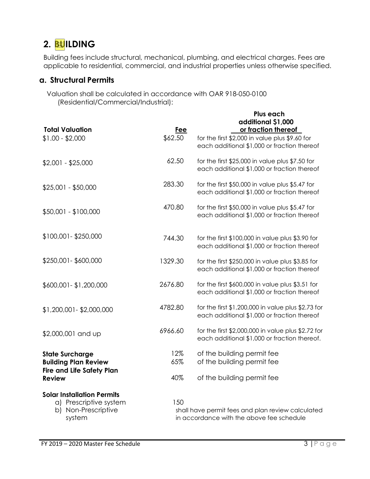# <span id="page-8-0"></span>**2. BUILDING**

Building fees include structural, mechanical, plumbing, and electrical charges. Fees are applicable to residential, commercial, and industrial properties unless otherwise specified.

### <span id="page-8-1"></span>**a. Structural Permits**

Valuation shall be calculated in accordance with OAR 918-050-0100 (Residential/Commercial/Industrial):

| <b>Total Valuation</b>                                                                       | <u>Fee</u> | <b>Plus each</b><br>additional \$1,000<br>or fraction thereof                                      |
|----------------------------------------------------------------------------------------------|------------|----------------------------------------------------------------------------------------------------|
| $$1.00 - $2,000$                                                                             | \$62.50    | for the first \$2,000 in value plus \$9.60 for<br>each additional \$1,000 or fraction thereof      |
| $$2,001 - $25,000$                                                                           | 62.50      | for the first \$25,000 in value plus \$7.50 for<br>each additional \$1,000 or fraction thereof     |
| $$25,001 - $50,000$                                                                          | 283.30     | for the first \$50,000 in value plus \$5.47 for<br>each additional \$1,000 or fraction thereof     |
| \$50,001 - \$100,000                                                                         | 470.80     | for the first \$50,000 in value plus \$5.47 for<br>each additional \$1,000 or fraction thereof     |
| \$100,001-\$250,000                                                                          | 744.30     | for the first \$100,000 in value plus \$3.90 for<br>each additional \$1,000 or fraction thereof    |
| \$250,001-\$600,000                                                                          | 1329.30    | for the first \$250,000 in value plus \$3.85 for<br>each additional \$1,000 or fraction thereof    |
| \$600,001-\$1,200,000                                                                        | 2676.80    | for the first \$600,000 in value plus \$3.51 for<br>each additional \$1,000 or fraction thereof    |
| \$1,200,001 - \$2,000,000                                                                    | 4782.80    | for the first \$1,200,000 in value plus \$2.73 for<br>each additional \$1,000 or fraction thereof  |
| \$2,000,001 and up                                                                           | 6966.60    | for the first \$2,000,000 in value plus \$2.72 for<br>each additional \$1,000 or fraction thereof. |
| <b>State Surcharge</b><br><b>Building Plan Review</b>                                        | 12%<br>65% | of the building permit fee<br>of the building permit fee                                           |
| <b>Fire and Life Safety Plan</b><br><b>Review</b>                                            | 40%        | of the building permit fee                                                                         |
| <b>Solar Installation Permits</b><br>a) Prescriptive system<br>b) Non-Prescriptive<br>system | 150        | shall have permit fees and plan review calculated<br>in accordance with the above fee schedule     |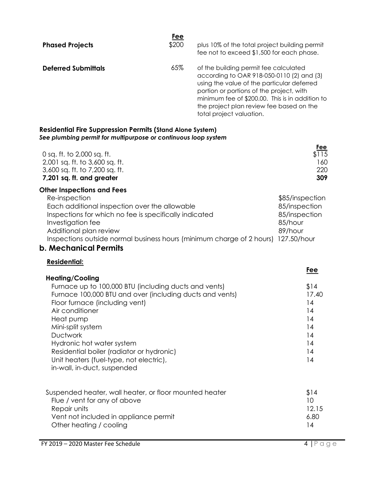| <b>Phased Projects</b>     | Fee<br>\$200 | plus 10% of the total project building permit<br>fee not to exceed \$1,500 for each phase.                                                                                                                                                                                                              |
|----------------------------|--------------|---------------------------------------------------------------------------------------------------------------------------------------------------------------------------------------------------------------------------------------------------------------------------------------------------------|
| <b>Deferred Submittals</b> | 65%          | of the building permit fee calculated<br>according to OAR 918-050-0110 (2) and (3)<br>using the value of the particular deferred<br>portion or portions of the project, with<br>minimum fee of \$200.00. This is in addition to<br>the project plan review fee based on the<br>total project valuation. |
|                            |              |                                                                                                                                                                                                                                                                                                         |

#### **Residential Fire Suppression Permits (Stand Alone System)** *See plumbing permit for multipurpose or continuous loop system*

| 0 sq. ft. to 2,000 sq. ft.<br>2,001 sq. ft. to 3,600 sq. ft.                      | <u>Fee</u><br>\$115<br>160 |
|-----------------------------------------------------------------------------------|----------------------------|
| 3,600 sq. ft. to 7,200 sq. ft.                                                    | 220                        |
| 7,201 sq. ft. and greater                                                         | 309                        |
| <b>Other Inspections and Fees</b>                                                 |                            |
| Re-inspection                                                                     | \$85/inspection            |
| Each additional inspection over the allowable                                     | 85/inspection              |
| Inspections for which no fee is specifically indicated                            | 85/inspection              |
| Investigation fee                                                                 | 85/hour                    |
| Additional plan review                                                            | 89/hour                    |
| Inspections outside normal business hours (minimum charge of 2 hours) 127.50/hour |                            |
| <b>b. Mechanical Permits</b>                                                      |                            |

# <span id="page-9-0"></span>**Residential:**

|                                                          | Fee   |
|----------------------------------------------------------|-------|
| <b>Heating/Cooling</b>                                   |       |
| Furnace up to 100,000 BTU (including ducts and vents)    | \$14  |
| Furnace 100,000 BTU and over (including ducts and vents) | 17.40 |
| Floor furnace (including vent)                           | 14    |
| Air conditioner                                          | 14    |
| Heat pump                                                | 14    |
| Mini-split system                                        | 14    |
| <b>Ductwork</b>                                          | 14    |
| Hydronic hot water system                                | 14    |
| Residential boiler (radiator or hydronic)                | 14    |
| Unit heaters (fuel-type, not electric),                  | 14    |
| in-wall, in-duct, suspended                              |       |
|                                                          |       |
|                                                          |       |

| Suspended heater, wall heater, or floor mounted heater |        |
|--------------------------------------------------------|--------|
| Flue / vent for any of above                           | $\cup$ |
| Repair units                                           | 12.15  |
| Vent not included in appliance permit                  | 6.80   |
| Other heating / cooling                                | 14     |
|                                                        |        |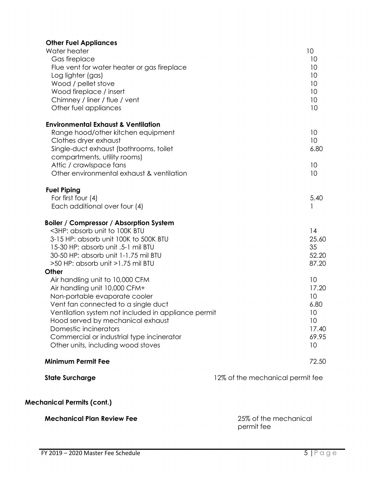<span id="page-10-0"></span>

| <b>Other Fuel Appliances</b><br>Water heater                               |                                  | 10              |
|----------------------------------------------------------------------------|----------------------------------|-----------------|
| Gas fireplace                                                              |                                  | 10              |
| Flue vent for water heater or gas fireplace                                |                                  | 10              |
| Log lighter (gas)<br>Wood / pellet stove                                   |                                  | 10<br>10        |
| Wood fireplace / insert                                                    |                                  | 10              |
| Chimney / liner / flue / vent                                              |                                  | 10              |
| Other fuel appliances                                                      |                                  | 10              |
| <b>Environmental Exhaust &amp; Ventilation</b>                             |                                  |                 |
| Range hood/other kitchen equipment                                         |                                  | 10              |
| Clothes dryer exhaust                                                      |                                  | 10              |
| Single-duct exhaust (bathrooms, toilet                                     |                                  | 6.80            |
| compartments, utility rooms)                                               |                                  |                 |
| Attic / crawlspace fans                                                    |                                  | 10              |
| Other environmental exhaust & ventilation                                  |                                  | 10              |
| <b>Fuel Piping</b>                                                         |                                  |                 |
| For first four (4)                                                         |                                  | 5.40            |
| Each additional over four (4)                                              |                                  | 1               |
| Boiler / Compressor / Absorption System                                    |                                  |                 |
| <3HP: absorb unit to 100K BTU                                              |                                  | 14              |
| 3-15 HP: absorb unit 100K to 500K BTU                                      |                                  | 25.60           |
| 15-30 HP: absorb unit .5-1 mil BTU<br>30-50 HP: absorb unit 1-1.75 mil BTU |                                  | 35<br>52.20     |
| >50 HP: absorb unit >1.75 mil BTU                                          |                                  | 87.20           |
| Other                                                                      |                                  |                 |
| Air handling unit to 10,000 CFM                                            |                                  | 10              |
| Air handling unit 10,000 CFM+                                              |                                  | 17.20           |
| Non-portable evaporate cooler                                              |                                  | 10              |
| Vent fan connected to a single duct                                        |                                  | 6.80            |
| Ventilation system not included in appliance permit                        |                                  | 10              |
| Hood served by mechanical exhaust                                          |                                  | 10              |
| Domestic incinerators                                                      |                                  | 17.40           |
| Commercial or industrial type incinerator                                  |                                  | 69.95           |
| Other units, including wood stoves                                         |                                  | 10 <sup>°</sup> |
| <b>Minimum Permit Fee</b>                                                  |                                  | 72.50           |
| <b>State Surcharge</b>                                                     | 12% of the mechanical permit fee |                 |
| <b>Mechanical Permits (cont.)</b>                                          |                                  |                 |
| <b>Mechanical Plan Review Fee</b>                                          | 25% of the mechanical            |                 |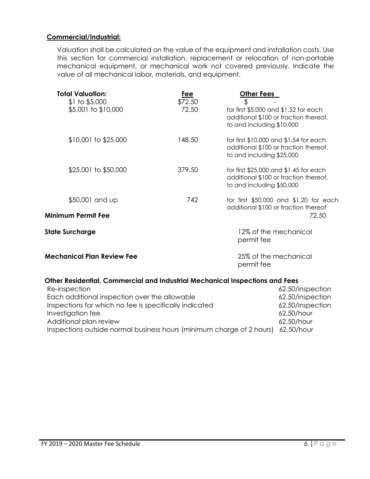#### **Commercial/Industrial:**

Valuation shall be calculated on the value of the equipment and installation costs. Use this section for commercial installation, replacement or relocation of non-portable mechanical equipment, or mechanical work not covered previously. Indicate the value of all mechanical labor, materials, and equipment.

| <b>Total Valuation:</b><br>$$1$ to $$5,000$<br>\$5,001 to \$10,000 | <u>Fee</u><br>\$72.50<br>72.50 | <b>Other Fees</b><br>\$<br>for first \$5,000 and \$1.52 for each<br>additional \$100 or fraction thereof,<br>to and including \$10,000 |
|--------------------------------------------------------------------|--------------------------------|----------------------------------------------------------------------------------------------------------------------------------------|
| \$10,001 to \$25,000                                               | 148.50                         | for first $$10,000$ and $$1.54$ for each<br>additional \$100 or fraction thereof,<br>to and including \$25,000                         |
| \$25,001 to \$50,000                                               | 379.50                         | for first $$25,000$ and $$1.45$ for each<br>additional \$100 or fraction thereof,<br>to and including \$50,000                         |
| \$50,001 and up<br>Minimum Permit Fee                              | 742                            | for first \$50,000 and \$1.20 for each<br>additional \$100 or fraction thereof<br>72.50                                                |
| State Surcharge                                                    |                                | 12% of the mechanical<br>permit fee                                                                                                    |
| Mechanical Plan Review Fee                                         |                                | 25% of the mechanical<br>permit fee                                                                                                    |

#### **Other Residential, Commercial and Industrial Mechanical Inspections and Fees**

| Re-inspection                                                                    | 62.50/inspection |
|----------------------------------------------------------------------------------|------------------|
| Each additional inspection over the allowable                                    | 62.50/inspection |
| Inspections for which no fee is specifically indicated                           | 62.50/inspection |
| Investigation fee                                                                | 62.50/hour       |
| Additional plan review                                                           | 62.50/hour       |
| Inspections outside normal business hours (minimum charge of 2 hours) 62.50/hour |                  |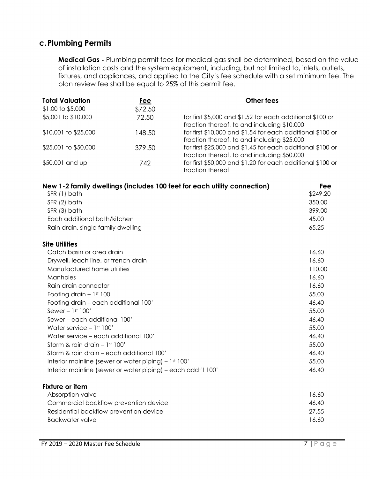#### <span id="page-12-0"></span>**c.Plumbing Permits**

**Medical Gas -** Plumbing permit fees for medical gas shall be determined, based on the value of installation costs and the system equipment, including, but not limited to, inlets, outlets, fixtures, and appliances, and applied to the City's fee schedule with a set minimum fee. The plan review fee shall be equal to 25% of this permit fee.

| <b>Total Valuation</b> | <u>Fee</u> | <b>Other fees</b>                                                              |
|------------------------|------------|--------------------------------------------------------------------------------|
| $$1.00$ to $$5,000$    | \$72.50    |                                                                                |
| \$5,001 to \$10,000    | 72.50      | for first \$5,000 and \$1.52 for each additional \$100 or                      |
|                        |            | fraction thereof, to and including \$10,000                                    |
| \$10,001 to \$25,000   | 148.50     | for first \$10,000 and \$1.54 for each additional \$100 or                     |
|                        |            | fraction thereof, to and including \$25,000                                    |
| \$25,001 to \$50,000   | 379.50     | for first \$25,000 and \$1.45 for each additional \$100 or                     |
|                        |            | fraction thereof, to and including \$50,000                                    |
| \$50,001 and up        | 742        | for first \$50,000 and \$1.20 for each additional \$100 or<br>fraction thereof |

| New 1-2 family dwellings (includes 100 feet for each utility connection) | Fee      |
|--------------------------------------------------------------------------|----------|
| SFR (1) bath                                                             | \$249.20 |
| SFR (2) bath                                                             | 350.00   |
| SFR (3) bath                                                             | 399.00   |
| Each additional bath/kitchen                                             | 45.00    |
| Rain drain, single family dwelling                                       | 65.25    |
| <b>Site Utilities</b>                                                    |          |
| Catch basin or area drain                                                | 16.60    |
| Drywell, leach line, or trench drain                                     | 16.60    |
| Manufactured home utilities                                              | 110.00   |
| Manholes                                                                 | 16.60    |
| Rain drain connector                                                     | 16.60    |
| Footing drain $-1$ <sup>st</sup> 100'                                    | 55.00    |
| Footing drain - each additional 100'                                     | 46.40    |
| Sewer - 1st 100'                                                         | 55.00    |
| Sewer - each additional 100'                                             | 46.40    |
| Water service $-1$ <sup>st</sup> 100'                                    | 55.00    |
| Water service - each additional 100'                                     | 46.40    |
| Storm & rain drain $-1$ st 100'                                          | 55.00    |
| Storm & rain drain – each additional 100'                                | 46.40    |
| Interior mainline (sewer or water piping) – 1 <sup>st</sup> 100'         | 55.00    |
| Interior mainline (sewer or water piping) – each addt'l 100'             | 46.40    |
| <b>Fixture or item</b>                                                   |          |
| Absorption valve                                                         | 16.60    |
| Commercial backflow prevention device                                    | 46.40    |
| Residential backflow prevention device                                   | 27.55    |
| Backwater valve                                                          | 16.60    |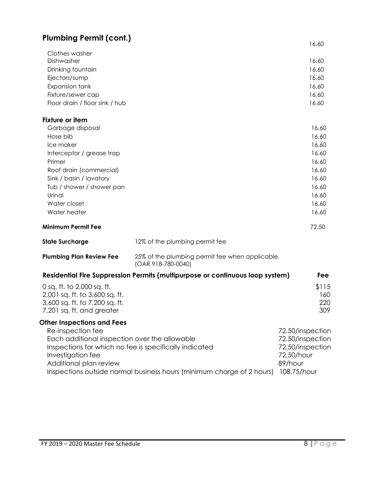| <b>Plumbing Permit (cont.)</b>                                                                                                                                                                                                                                       |                                                                               |                                                                                                          |
|----------------------------------------------------------------------------------------------------------------------------------------------------------------------------------------------------------------------------------------------------------------------|-------------------------------------------------------------------------------|----------------------------------------------------------------------------------------------------------|
| Clothes washer<br>Dishwasher<br>Drinking fountain<br>Ejectors/sump<br>Expansion tank<br>Fixture/sewer cap<br>Floor drain / floor sink / hub                                                                                                                          |                                                                               | 16.60<br>16.60<br>16.60<br>16.60<br>16.60<br>16.60<br>16.60                                              |
| <b>Fixture or item</b><br>Garbage disposal<br>Hose bib<br>Ice maker<br>Interceptor / grease trap<br>Primer<br>Roof drain (commercial)<br>Sink / basin / lavatory<br>Tub / shower / shower pan<br>Urinal<br>Water closet<br>Water heater<br><b>Minimum Permit Fee</b> |                                                                               | 16.60<br>16.60<br>16.60<br>16.60<br>16.60<br>16.60<br>16.60<br>16.60<br>16.60<br>16.60<br>16.60<br>72.50 |
| <b>State Surcharge</b>                                                                                                                                                                                                                                               | 12% of the plumbing permit fee                                                |                                                                                                          |
| <b>Plumbing Plan Review Fee</b>                                                                                                                                                                                                                                      | 25% of the plumbing permit fee when applicable<br>(OAR 918-780-0040)          |                                                                                                          |
|                                                                                                                                                                                                                                                                      | Residential Fire Suppression Permits (multipurpose or continuous loop system) | <b>Fee</b>                                                                                               |
| 0 sq. ft. to 2,000 sq. ft.<br>2,001 sq. ft. to 3,600 sq. ft.<br>3,600 sq. ft. to 7,200 sq. ft.<br>7,201 sq. ft. and greater                                                                                                                                          |                                                                               | \$115<br>160<br>220<br>309                                                                               |
| <b>Other Inspections and Fees</b><br>Re-inspection fee<br>Each additional inspection over the allowable<br>Inspections for which no fee is specifically indicated<br>Investigation fee<br>Additional plan review                                                     | Inspections outside normal business hours (minimum charge of 2 hours)         | 72.50/inspection<br>72.50/inspection<br>72.50/inspection<br>72.50/hour<br>89/hour<br>108.75/hour         |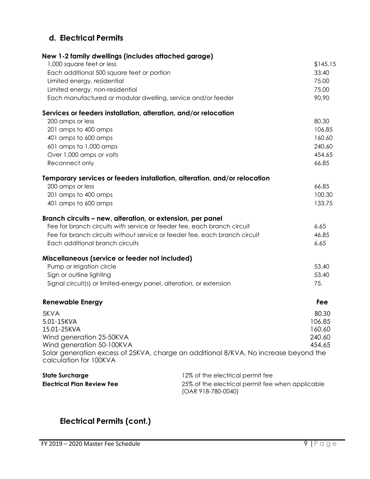### <span id="page-14-0"></span>**d. Electrical Permits**

| New 1-2 family dwellings (includes attached garage)                                                            |                                                  |                   |
|----------------------------------------------------------------------------------------------------------------|--------------------------------------------------|-------------------|
| 1,000 square feet or less<br>Each additional 500 square feet or portion                                        |                                                  | \$145.15<br>33.40 |
| Limited energy, residential                                                                                    |                                                  | 75.00             |
| Limited energy, non-residential                                                                                |                                                  | 75.00             |
| Each manufactured or modular dwelling, service and/or feeder                                                   |                                                  | 90.90             |
| Services or feeders installation, alteration, and/or relocation                                                |                                                  |                   |
| 200 amps or less                                                                                               |                                                  | 80.30             |
| 201 amps to 400 amps                                                                                           |                                                  | 106.85            |
| 401 amps to 600 amps                                                                                           |                                                  | 160.60            |
| 601 amps to 1,000 amps                                                                                         |                                                  | 240.60            |
| Over 1,000 amps or volts                                                                                       |                                                  | 454.65            |
| Reconnect only                                                                                                 |                                                  | 66.85             |
| Temporary services or feeders installation, alteration, and/or relocation                                      |                                                  |                   |
| 200 amps or less                                                                                               |                                                  | 66.85             |
| 201 amps to 400 amps                                                                                           |                                                  |                   |
| 401 amps to 600 amps                                                                                           |                                                  | 133.75            |
| Branch circuits – new, alteration, or extension, per panel                                                     |                                                  |                   |
| Fee for branch circuits with service or feeder fee, each branch circuit                                        |                                                  | 6.65              |
| Fee for branch circuits without service or feeder fee, each branch circuit                                     |                                                  | 46.85             |
| Each additional branch circuits                                                                                |                                                  | 6.65              |
| Miscellaneous (service or feeder not included)                                                                 |                                                  |                   |
| Pump or irrigation circle                                                                                      |                                                  | 53.40             |
| Sign or outline lighting                                                                                       |                                                  | 53.40             |
| Signal circuit(s) or limited-energy panel, alteration, or extension                                            |                                                  | 75.               |
|                                                                                                                |                                                  |                   |
| <b>Renewable Energy</b>                                                                                        |                                                  | Fee               |
| 5KVA                                                                                                           |                                                  | 80.30             |
| 5.01-15KVA                                                                                                     |                                                  | 106.85            |
| 15.01-25KVA                                                                                                    |                                                  | 160.60            |
| Wind generation 25-50KVA                                                                                       |                                                  | 240.60            |
| Wind generation 50-100KVA                                                                                      |                                                  | 454.65            |
| Solar generation excess of 25KVA, charge an additional 8/KVA, No increase beyond the<br>calculation for 100KVA |                                                  |                   |
| <b>State Surcharge</b>                                                                                         | 12% of the electrical permit fee                 |                   |
| <b>Electrical Plan Review Fee</b>                                                                              | 25% of the electrical permit fee when applicable |                   |
|                                                                                                                | (OAR 918-780-0040)                               |                   |

# <span id="page-14-1"></span>**Electrical Permits (cont.)**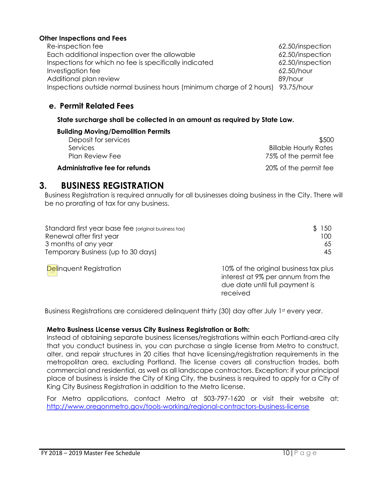#### **Other Inspections and Fees**

Re-inspection fee 62.50/inspection fee 62.50 Each additional inspection over the allowable example 62.50/inspection Inspections for which no fee is specifically indicated 62.50/inspection Investigation fee 62.50/hour Additional plan review 89/hour Inspections outside normal business hours (minimum charge of 2 hours) 93.75/hour

#### <span id="page-15-0"></span>**e. Permit Related Fees**

#### **State surcharge shall be collected in an amount as required by State Law.**

| <b>Building Moving/Demolition Permits</b> |                              |
|-------------------------------------------|------------------------------|
| Deposit for services                      | \$500                        |
| Services                                  | <b>Billable Hourly Rates</b> |
| <b>Plan Review Fee</b>                    | 75% of the permit fee        |
| <b>Administrative fee for refunds</b>     | 20% of the permit fee        |

### <span id="page-15-1"></span>**3. BUSINESS REGISTRATION**

Business Registration is required annually for all businesses doing business in the City. There will be no prorating of tax for any business.

| Standard first year base fee (original business tax) | 150                                                                                                                      |
|------------------------------------------------------|--------------------------------------------------------------------------------------------------------------------------|
| Renewal after first year                             | 100                                                                                                                      |
| 3 months of any year                                 | 65                                                                                                                       |
| Temporary Business (up to 30 days)                   | 45                                                                                                                       |
| <b>Del</b> inquent Registration                      | 10% of the original business tax plus<br>interest at 9% per annum from the<br>due date until full payment is<br>received |

Business Registrations are considered delinquent thirty (30) day after July 1st every year.

#### **Metro Business License versus City Business Registration or Both:**

Instead of obtaining separate business licenses/registrations within each Portland-area city that you conduct business in, you can purchase a single license from Metro to construct, alter, and repair structures in 20 cities that have licensing/registration requirements in the metropolitan area, excluding Portland. The license covers all construction trades, both commercial and residential, as well as all landscape contractors. Exception: if your principal place of business is inside the City of King City, the business is required to apply for a City of King City Business Registration in addition to the Metro license.

For Metro applications, contact Metro at 503-797-1620 or visit their website at: <http://www.oregonmetro.gov/tools-working/regional-contractors-business-license>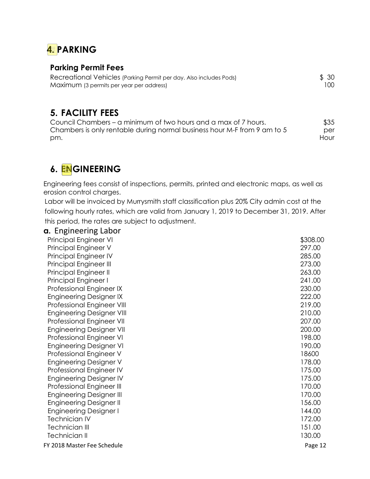<span id="page-16-0"></span>

#### **Parking Permit Fees**

| Recreational Vehicles (Parking Permit per day. Also includes Pods) | \$30 |
|--------------------------------------------------------------------|------|
| Maximum (3 permits per year per address)                           | 100  |

### <span id="page-16-1"></span>**5. FACILITY FEES**

Council Chambers – a minimum of two hours and a max of 7 hours. Chambers is only rentable during normal business hour M-F from 9 am to 5 pm. \$35 per Hour

# <span id="page-16-2"></span>**6. ENGINEERING**

Engineering fees consist of inspections, permits, printed and electronic maps, as well as erosion control charges.

Labor will be invoiced by Murrysmith staff classification plus 20% City admin cost at the following hourly rates, which are valid from January 1, 2019 to December 31, 2019. After this period, the rates are subject to adjustment.

#### <span id="page-16-3"></span>**a.** Engineering Labor

| Principal Engineer VI            | \$308.00 |
|----------------------------------|----------|
| Principal Engineer V             | 297.00   |
| Principal Engineer IV            | 285.00   |
| Principal Engineer III           | 273.00   |
| Principal Engineer II            | 263.00   |
| Principal Engineer I             | 241.00   |
| Professional Engineer IX         | 230.00   |
| <b>Engineering Designer IX</b>   | 222.00   |
| Professional Engineer VIII       | 219.00   |
| <b>Engineering Designer VIII</b> | 210.00   |
| Professional Engineer VII        | 207.00   |
| <b>Engineering Designer VII</b>  | 200.00   |
| Professional Engineer VI         | 198.00   |
| <b>Engineering Designer VI</b>   | 190.00   |
| Professional Engineer V          | 18600    |
| <b>Engineering Designer V</b>    | 178.00   |
| Professional Engineer IV         | 175.00   |
| <b>Engineering Designer IV</b>   | 175.00   |
| Professional Engineer III        | 170.00   |
| <b>Engineering Designer III</b>  | 170.00   |
| <b>Engineering Designer II</b>   | 156.00   |
| <b>Engineering Designer I</b>    | 144.00   |
| <b>Technician IV</b>             | 172.00   |
| <b>Technician III</b>            | 151.00   |
| <b>Technician II</b>             | 130.00   |
| FY 2018 Master Fee Schedule      | Page 12  |
|                                  |          |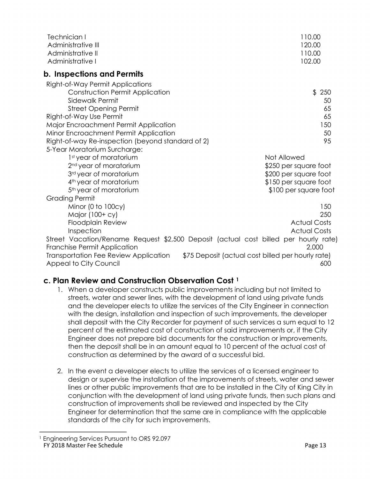<span id="page-17-0"></span>

| Technician I<br>Administrative III<br>Administrative II<br>Administrative I                                         | 110.00<br>120.00<br>110.00<br>102.00 |
|---------------------------------------------------------------------------------------------------------------------|--------------------------------------|
| b. Inspections and Permits                                                                                          |                                      |
| Right-of-Way Permit Applications                                                                                    |                                      |
| <b>Construction Permit Application</b>                                                                              | \$250                                |
| Sidewalk Permit                                                                                                     | 50                                   |
| <b>Street Opening Permit</b><br>Right-of-Way Use Permit                                                             | 65<br>65                             |
| Major Encroachment Permit Application                                                                               | 150                                  |
| Minor Encroachment Permit Application                                                                               | 50                                   |
| Right-of-way Re-inspection (beyond standard of 2)                                                                   | 95                                   |
| 5-Year Moratorium Surcharge:                                                                                        |                                      |
| 1st year of moratorium                                                                                              | Not Allowed                          |
| 2 <sup>nd</sup> year of moratorium                                                                                  | \$250 per square foot                |
| 3rd year of moratorium                                                                                              | \$200 per square foot                |
| 4 <sup>th</sup> year of moratorium                                                                                  | \$150 per square foot                |
| 5 <sup>th</sup> year of moratorium                                                                                  | \$100 per square foot                |
| <b>Grading Permit</b>                                                                                               |                                      |
| Minor (0 to $100cy$ )                                                                                               | 150                                  |
| Major (100+ cy)                                                                                                     | 250                                  |
| <b>Floodplain Review</b>                                                                                            | <b>Actual Costs</b>                  |
| Inspection                                                                                                          | <b>Actual Costs</b>                  |
| Street Vacation/Rename Request \$2,500 Deposit (actual cost billed per hourly rate)<br>Franchise Permit Application | 2,000                                |
| \$75 Deposit (actual cost billed per hourly rate)<br>Transportation Fee Review Application                          |                                      |
| Appeal to City Council                                                                                              | 600                                  |

#### <span id="page-17-1"></span>**c. Plan Review and Construction Observation Cost [1](#page-17-2)**

- 1. When a developer constructs public improvements including but not limited to streets, water and sewer lines, with the development of land using private funds and the developer elects to utilize the services of the City Engineer in connection with the design, installation and inspection of such improvements, the developer shall deposit with the City Recorder for payment of such services a sum equal to 12 percent of the estimated cost of construction of said improvements or, if the City Engineer does not prepare bid documents for the construction or improvements, then the deposit shall be in an amount equal to 10 percent of the actual cost of construction as determined by the award of a successful bid.
- 2. In the event a developer elects to utilize the services of a licensed engineer to design or supervise the installation of the improvements of streets, water and sewer lines or other public improvements that are to be installed in the City of King City in conjunction with the development of land using private funds, then such plans and construction of improvements shall be reviewed and inspected by the City Engineer for determination that the same are in compliance with the applicable standards of the city for such improvements.

<span id="page-17-2"></span>FY 2018 Master Fee Schedule **Page 13** Page 13 <sup>1</sup> Engineering Services Pursuant to ORS 92.097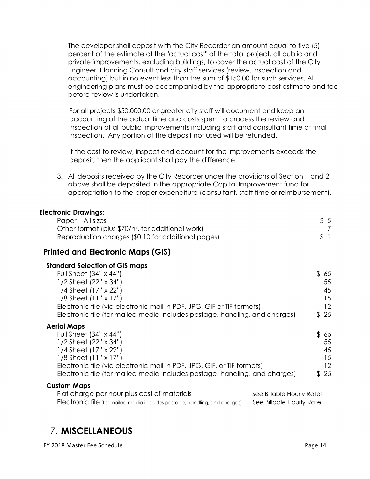The developer shall deposit with the City Recorder an amount equal to five (5) percent of the estimate of the "actual cost" of the total project, all public and private improvements, excluding buildings, to cover the actual cost of the City Engineer, Planning Consult and city staff services (review, inspection and accounting) but in no event less than the sum of \$150.00 for such services. All engineering plans must be accompanied by the appropriate cost estimate and fee before review is undertaken.

For all projects \$50,000.00 or greater city staff will document and keep an accounting of the actual time and costs spent to process the review and inspection of all public improvements including staff and consultant time at final inspection. Any portion of the deposit not used will be refunded.

If the cost to review, inspect and account for the improvements exceeds the deposit, then the applicant shall pay the difference.

3. All deposits received by the City Recorder under the provisions of Section 1 and 2 above shall be deposited in the appropriate Capital Improvement fund for appropriation to the proper expenditure (consultant, staff time or reimbursement).

#### **Electronic Drawings:**

| Paper – All sizes                                  |  |
|----------------------------------------------------|--|
| Other format (plus \$70/hr. for additional work)   |  |
| Reproduction charges (\$0.10 for additional pages) |  |

#### <span id="page-18-0"></span>**Printed and Electronic Maps (GIS)**

#### **Standard Selection of GIS maps**

| Full Sheet $(34" \times 44")$                                              | \$65 |
|----------------------------------------------------------------------------|------|
| $1/2$ Sheet (22" x 34")                                                    | 55   |
| $1/4$ Sheet $(17" \times 22")$                                             | 45   |
| $1/8$ Sheet $(11" \times 17")$                                             | 1.5  |
| Electronic file (via electronic mail in PDF, JPG, GIF or TIF formats)      | 12.  |
| Electronic file (for mailed media includes postage, handling, and charges) | \$25 |

#### **Aerial Maps**

| Full Sheet $(34" \times 44")$                                              | \$65 |
|----------------------------------------------------------------------------|------|
| $1/2$ Sheet (22" x 34")                                                    | 55   |
| 1/4 Sheet (17" x 22")                                                      | 45   |
| $1/8$ Sheet $(11" \times 17")$                                             | 1.5  |
| Electronic file (via electronic mail in PDF, JPG, GIF, or TIF formats)     | 12   |
| Electronic file (for mailed media includes postage, handling, and charges) | \$25 |

#### **Custom Maps**

| Flat charge per hour plus cost of materials                                | See Billable Hourly Rates |
|----------------------------------------------------------------------------|---------------------------|
| Electronic file (for mailed media includes postage, handling, and charges) | See Billable Hourly Rate  |

### <span id="page-18-1"></span>7. **MISCELLANEOUS**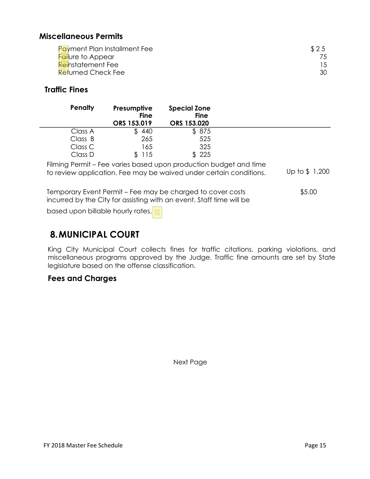#### <span id="page-19-0"></span>**Miscellaneous Permits**

| <b>Payment Plan Installment Fee</b> | \$2.5 |
|-------------------------------------|-------|
| <b>Fail</b> ure to Appear           | 75    |
| <mark>Rei</mark> nstatement Fee     | 15    |
| <del>Ret</del> urned Check Fee      | 30    |
|                                     |       |

#### **Traffic Fines**

| Penalty | Presumptive<br><b>Fine</b><br>ORS 153.019                         | <b>Special Zone</b><br><b>Fine</b><br>ORS 153.020 |                                       |
|---------|-------------------------------------------------------------------|---------------------------------------------------|---------------------------------------|
| Class A | \$440                                                             | \$875                                             |                                       |
| Class B | 265                                                               | 525                                               |                                       |
| Class C | 165                                                               | 325                                               |                                       |
| Class D | \$115                                                             | \$225                                             |                                       |
|         | Filming Permit – Fee varies based upon production budget and time |                                                   | $\uparrow$ $\uparrow$ $\uparrow$<br>. |

to review application. Fee may be waived under certain conditions. Up to \$1,200

| Temporary Event Permit – Fee may be charged to cover costs           | \$5.00 |
|----------------------------------------------------------------------|--------|
| incurred by the City for assisting with an event. Staff time will be |        |

based upon billable hourly rates.  $\equiv$ 

### <span id="page-19-1"></span>**8.MUNICIPAL COURT**

King City Municipal Court collects fines for traffic citations, parking violations, and miscellaneous programs approved by the Judge. Traffic fine amounts are set by State legislature based on the offense classification.

#### <span id="page-19-2"></span>**Fees and Charges**

Next Page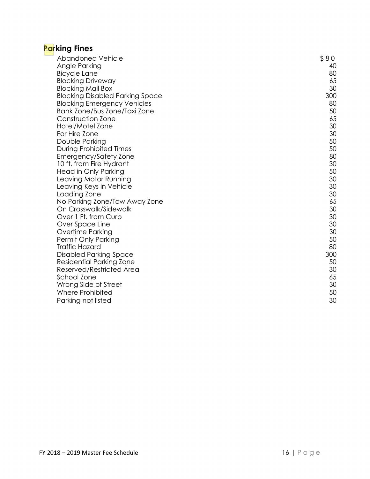# <span id="page-20-0"></span>**Parking Fines**

| <b>Abandoned Vehicle</b>               | \$80 |
|----------------------------------------|------|
| Angle Parking                          | 40   |
| <b>Bicycle Lane</b>                    | 80   |
| <b>Blocking Driveway</b>               | 65   |
| <b>Blocking Mail Box</b>               | 30   |
| <b>Blocking Disabled Parking Space</b> | 300  |
| <b>Blocking Emergency Vehicles</b>     | 80   |
| Bank Zone/Bus Zone/Taxi Zone           | 50   |
| Construction Zone                      | 65   |
| Hotel/Motel Zone                       | 30   |
| For Hire Zone                          | 30   |
| Double Parking                         | 50   |
| <b>During Prohibited Times</b>         | 50   |
| Emergency/Safety Zone                  | 80   |
| 10 ft. from Fire Hydrant               | 30   |
| <b>Head in Only Parking</b>            | 50   |
| Leaving Motor Running                  | 30   |
| Leaving Keys in Vehicle                | 30   |
| Loading Zone                           | 30   |
| No Parking Zone/Tow Away Zone          | 65   |
| On Crosswalk/Sidewalk                  | 30   |
| Over 1 Ft. from Curb                   | 30   |
| Over Space Line                        | 30   |
| Overtime Parking                       | 30   |
| Permit Only Parking                    | 50   |
| <b>Traffic Hazard</b>                  | 80   |
| <b>Disabled Parking Space</b>          | 300  |
| Residential Parking Zone               | 50   |
| Reserved/Restricted Area               | 30   |
| School Zone                            | 65   |
| Wrong Side of Street                   | 30   |
| Where Prohibited                       | 50   |
| Parking not listed                     | 30   |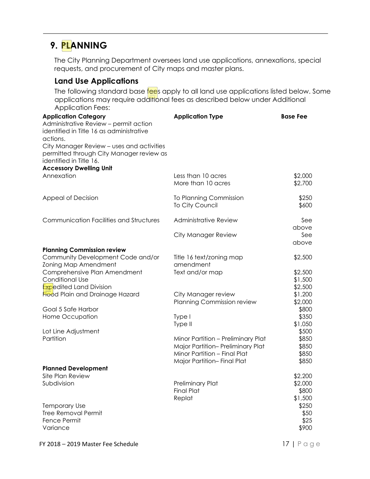# <span id="page-21-0"></span>**9. PLANNING**

The City Planning Department oversees land use applications, annexations, special requests, and procurement of City maps and master plans.

#### <span id="page-21-1"></span>**Land Use Applications**

The following standard base fees apply to all land use applications listed below. Some applications may require additional fees as described below under Additional Application Fees:

| <b>Application Category</b><br>Administrative Review - permit action<br>identified in Title 16 as administrative<br>actions.<br>City Manager Review - uses and activities<br>permitted through City Manager review as<br>identified in Title 16.<br><b>Accessory Dwelling Unit</b> | <b>Application Type</b>                                                                                | <b>Base Fee</b>                        |
|------------------------------------------------------------------------------------------------------------------------------------------------------------------------------------------------------------------------------------------------------------------------------------|--------------------------------------------------------------------------------------------------------|----------------------------------------|
| Annexation                                                                                                                                                                                                                                                                         | Less than 10 acres<br>More than 10 acres                                                               | \$2,000<br>\$2,700                     |
| <b>Appeal of Decision</b>                                                                                                                                                                                                                                                          | To Planning Commission<br>To City Council                                                              | \$250<br>\$600                         |
| <b>Communication Facilities and Structures</b>                                                                                                                                                                                                                                     | <b>Administrative Review</b>                                                                           | See<br>above                           |
|                                                                                                                                                                                                                                                                                    | City Manager Review                                                                                    | See<br>above                           |
| <b>Planning Commission review</b><br>Community Development Code and/or<br><b>Zoning Map Amendment</b>                                                                                                                                                                              | Title 16 text/zoning map<br>amendment                                                                  | \$2,500                                |
| Comprehensive Plan Amendment<br><b>Conditional Use</b><br><b>Exp</b> edited Land Division                                                                                                                                                                                          | Text and/or map                                                                                        | \$2,500<br>\$1,500<br>\$2,500          |
| Hood Plain and Drainage Hazard                                                                                                                                                                                                                                                     | City Manager review<br>Planning Commission review                                                      | \$1,200<br>\$2,000                     |
| Goal 5 Safe Harbor<br>Home Occupation                                                                                                                                                                                                                                              | Type I<br>Type II                                                                                      | \$800<br>\$350<br>\$1,050              |
| Lot Line Adjustment<br>Partition                                                                                                                                                                                                                                                   | Minor Partition - Preliminary Plat<br>Major Partition-Preliminary Plat<br>Minor Partition - Final Plat | \$500<br>\$850<br>\$850<br>\$850       |
| <b>Planned Development</b>                                                                                                                                                                                                                                                         | Major Partition-Final Plat                                                                             | \$850                                  |
| Site Plan Review<br>Subdivision                                                                                                                                                                                                                                                    | <b>Preliminary Plat</b><br><b>Final Plat</b><br>Replat                                                 | \$2,200<br>\$2,000<br>\$800<br>\$1,500 |
| <b>Temporary Use</b><br><b>Tree Removal Permit</b><br>Fence Permit<br>Variance                                                                                                                                                                                                     |                                                                                                        | \$250<br>\$50<br>\$25<br>\$900         |

FY 2018 – 2019 Master Fee Schedule 17 | Page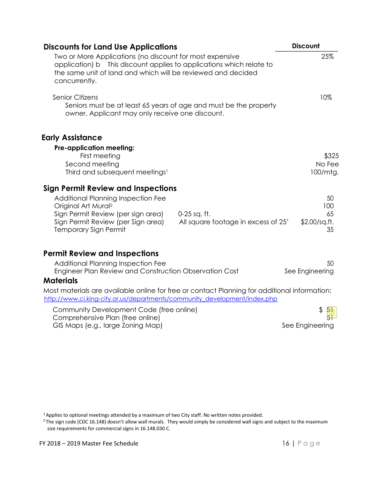<span id="page-22-2"></span><span id="page-22-1"></span><span id="page-22-0"></span>

| <b>Discounts for Land Use Applications</b>                                                                                                                                                                           | <b>Discount</b>       |
|----------------------------------------------------------------------------------------------------------------------------------------------------------------------------------------------------------------------|-----------------------|
| Two or More Applications (no discount for most expensive<br>This discount applies to applications which relate to<br>application) b<br>the same unit of land and which will be reviewed and decided<br>concurrently. | 25%                   |
| <b>Senior Citizens</b><br>Seniors must be at least 65 years of age and must be the property<br>owner. Applicant may only receive one discount.                                                                       | 10%                   |
| <b>Early Assistance</b>                                                                                                                                                                                              |                       |
| Pre-application meeting:                                                                                                                                                                                             |                       |
| First meeting<br>Second meeting                                                                                                                                                                                      | \$325<br>No Fee       |
| Third and subsequent meetings <sup>1</sup>                                                                                                                                                                           | 100/mtg.              |
| <b>Sign Permit Review and Inspections</b>                                                                                                                                                                            |                       |
| <b>Additional Planning Inspection Fee</b>                                                                                                                                                                            | 50                    |
| Original Art Mural <sup>2</sup><br>Sign Permit Review (per sign area)<br>0-25 sq. ft.                                                                                                                                | 100<br>65             |
| Sign Permit Review (per Sign area)<br>All square footage in excess of 25'<br><b>Temporary Sign Permit</b>                                                                                                            | \$2.00/sq.fit.<br>35  |
| <b>Permit Review and Inspections</b>                                                                                                                                                                                 |                       |
| <b>Additional Planning Inspection Fee</b><br>Engineer Plan Review and Construction Observation Cost                                                                                                                  | 50<br>See Engineering |
| <b>Materials</b>                                                                                                                                                                                                     |                       |
| Most materials are available online for free or contact Planning for additional information:<br>http://www.ci.king-city.or.us/departments/community_development/index.php                                            |                       |
| Community Development Code (free online)<br>Comprehensive Plan (free online)                                                                                                                                         |                       |
| GIS Maps (e.g., large Zoning Map)                                                                                                                                                                                    | See Engineering       |

<span id="page-22-4"></span><span id="page-22-3"></span><sup>&</sup>lt;sup>1</sup> Applies to optional meetings attended by a maximum of two City staff. No written notes provided.<br><sup>2</sup> The sign code (CDC 16.148) doesn't allow wall murals. They would simply be considered wall signs and subject to the size requirements for commercial signs in 16.148.030 C.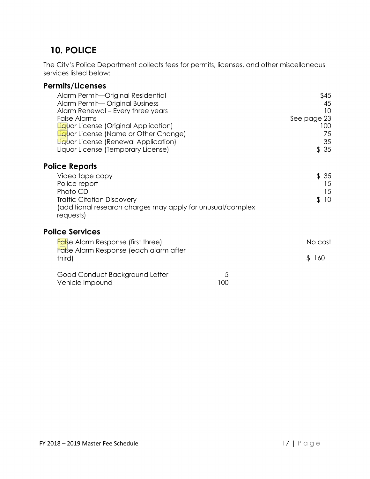# <span id="page-23-0"></span>**10. POLICE**

The City's Police Department collects fees for permits, licenses, and other miscellaneous services listed below:

#### <span id="page-23-1"></span>**Permits/Licenses**

<span id="page-23-2"></span>

| <b>Police Reports</b><br>Video tape copy<br>Police report<br>Photo CD<br><b>Traffic Citation Discovery</b><br>(additional research charges may apply for unusual/complex<br>requests) | 100<br>75<br>35<br>\$35      |
|---------------------------------------------------------------------------------------------------------------------------------------------------------------------------------------|------------------------------|
|                                                                                                                                                                                       | \$35<br>15<br>15<br>10<br>\$ |
| <b>Police Services</b><br><b>Fals</b> e Alarm Response (first three)<br>False Alarm Response (each alarm after<br>third)<br>\$                                                        | No cost<br>160               |

<span id="page-23-3"></span>

| Good Conduct Background Letter |      |
|--------------------------------|------|
| Vehicle Impound                | 100. |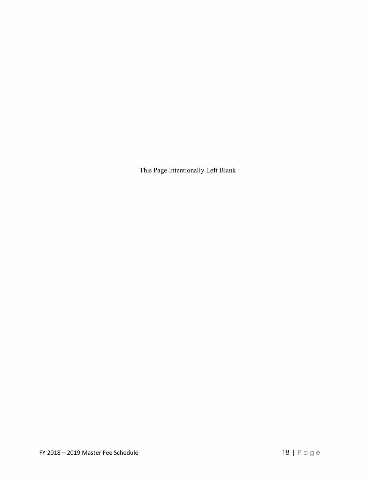This Page Intentionally Left Blank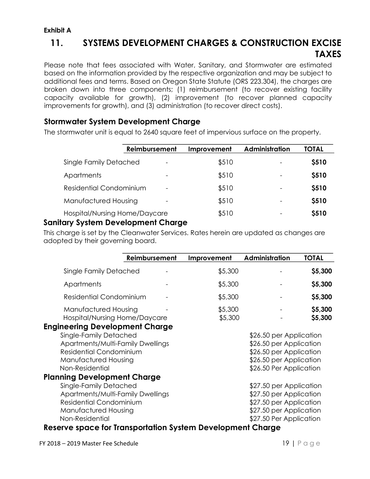## <span id="page-25-0"></span>**11. SYSTEMS DEVELOPMENT CHARGES & CONSTRUCTION EXCISE TAXES**

Please note that fees associated with Water, Sanitary, and Stormwater are estimated based on the information provided by the respective organization and may be subject to additional fees and terms. Based on Oregon State Statute (ORS 223.304), the charges are broken down into three components; (1) reimbursement (to recover existing facility capacity available for growth), (2) improvement (to recover planned capacity improvements for growth), and (3) administration (to recover direct costs).

#### <span id="page-25-1"></span>**Stormwater System Development Charge**

The stormwater unit is equal to 2640 square feet of impervious surface on the property.

|                               | Reimbursement | Improvement | <b>Administration</b> | <b>TOTAL</b> |
|-------------------------------|---------------|-------------|-----------------------|--------------|
| Single Family Detached        |               | \$510       |                       | \$510        |
| Apartments                    |               | \$510       |                       | \$510        |
| Residential Condominium       | -             | \$510       |                       | \$510        |
| Manufactured Housing          |               | \$510       |                       | \$510        |
| Hospital/Nursing Home/Daycare |               | \$510       |                       | \$510        |

#### <span id="page-25-2"></span>**Sanitary System Development Charge**

This charge is set by the Cleanwater Services. Rates herein are updated as changes are adopted by their governing board.

<span id="page-25-3"></span>

| Reimbursement                                                                                                                                                                                    | Improvement        | <b>Administration</b>                                                                                                                                                         | <b>TOTAL</b>       |
|--------------------------------------------------------------------------------------------------------------------------------------------------------------------------------------------------|--------------------|-------------------------------------------------------------------------------------------------------------------------------------------------------------------------------|--------------------|
| Single Family Detached                                                                                                                                                                           | \$5,300            |                                                                                                                                                                               | \$5,300            |
| Apartments                                                                                                                                                                                       | \$5,300            |                                                                                                                                                                               | \$5,300            |
| Residential Condominium                                                                                                                                                                          | \$5,300            |                                                                                                                                                                               | \$5,300            |
| Manufactured Housing<br>Hospital/Nursing Home/Daycare<br><b>Engineering Development Charge</b>                                                                                                   | \$5,300<br>\$5,300 |                                                                                                                                                                               | \$5,300<br>\$5,300 |
| Single-Family Detached<br>Apartments/Multi-Family Dwellings<br>Residential Condominium<br>Manufactured Housing<br>Non-Residential                                                                |                    | \$26.50 per Application<br>\$26.50 per Application<br>\$26.50 per Application<br>\$26.50 per Application<br>\$26.50 Per Application                                           |                    |
| <b>Planning Development Charge</b><br>Single-Family Detached<br>Apartments/Multi-Family Dwellings<br>Residential Condominium<br>Manufactured Housing<br>Non-Residential<br>. e<br>. <b>. T</b> . |                    | \$27.50 per Application<br>\$27.50 per Application<br>\$27.50 per Application<br>\$27.50 per Application<br>\$27.50 Per Application<br>$\mathbf{1}$ $\mathbf{2}$ $\mathbf{3}$ |                    |

#### <span id="page-25-5"></span><span id="page-25-4"></span>**Reserve space for Transportation System Development Charge**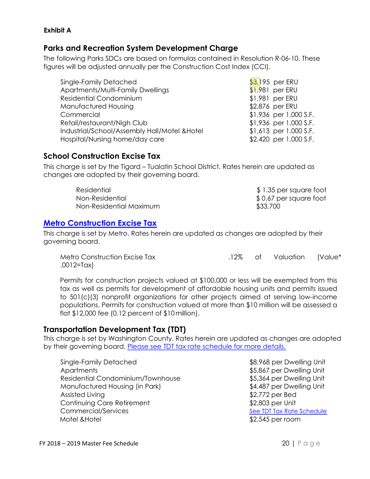#### **Exhibit A**

#### <span id="page-26-0"></span>**Parks and Recreation System Development Charge**

The following Parks SDCs are based on formulas contained in Resolution R-06-10. These figures will be adjusted annually per the Construction Cost Index (CCI).

| Single-Family Detached                        | \$3,195 per ERU        |
|-----------------------------------------------|------------------------|
| Apartments/Multi-Family Dwellings             | $$1,981$ per ERU       |
| Residential Condominium                       | \$1,981 per ERU        |
| Manufactured Housing                          | \$2,876 per ERU        |
| Commercial                                    | \$1,936 per 1,000 S.F. |
| Retail/restaurant/Nigh Club                   | \$1,936 per 1,000 S.F. |
| Industrial/School/Assembly Hall/Motel & Hotel | \$1,613 per 1,000 S.F. |
| Hospital/Nursing home/day care                | \$2,420 per 1,000 S.F. |

#### <span id="page-26-1"></span>**School Construction Excise Tax**

This charge is set by the Tigard – Tualatin School District. Rates herein are updated as changes are adopted by their governing board.

| Residential             | $$1.35$ per square foot |
|-------------------------|-------------------------|
| Non-Residential         | \$0.67 per square foot  |
| Non-Residential Maximum | \$33,700                |

#### <span id="page-26-2"></span>**[Metro Construction Excise Tax](https://www.oregonmetro.gov/metro-construction-excise-tax)**

This charge is set by Metro. Rates herein are updated as changes are adopted by their governing board.

| Metro Construction Excise Tax | .12% | of Valuation (Value* |  |
|-------------------------------|------|----------------------|--|
| $.0012 = T$ ax)               |      |                      |  |

Permits for construction projects valued at \$100,000 or less will be exempted from this tax as well as permits for development of affordable housing units and permits issued to 501(c)(3) nonprofit organizations for other projects aimed at serving low-income populations. Permits for construction valued at more than \$10 million will be assessed a flat \$12,000 fee (0.12 percent of \$10million).

#### <span id="page-26-3"></span>**Transportation Development Tax (TDT)**

This charge is set by Washington County. Rates herein are updated as changes are adopted by their governing board. Please see TDT tax [rate schedule for more details.](https://www.co.washington.or.us/LUT/Divisions/LongRangePlanning/PlanningPrograms/TransportationPlanning/upload/TDT-Rates_2019-2020.pdf)

Single-Family Detached \$8,968 per Dwelling Unit Apartments **Apartments 1998 1999 1999 1999 1999 1999 1999 1999 1999 1999 1999 1999 1999 1999 1999 1999 1999 1999 1999 1999 1999 1999 1999 1999 1999 1999 1999 1999 1** Residential Condominium/Townhouse  $$5,364$  per Dwelling Unit Manufactured Housing (in Park) \$4,487 per Dwelling Unit Assisted Living **but a strategies of the South Assisted Living and S2**,772 per Bed Continuing Care Retirement \$2,803 per Unit Commercial/Services [See TDT Tax Rate Schedule](https://www.co.washington.or.us/LUT/Divisions/LongRangePlanning/PlanningPrograms/TransportationPlanning/upload/TDT-Rates_2019-2020.pdf) Motel &Hotel **Exercise 2008** Motel & Motel & Motel & Motel **\$2,545** per room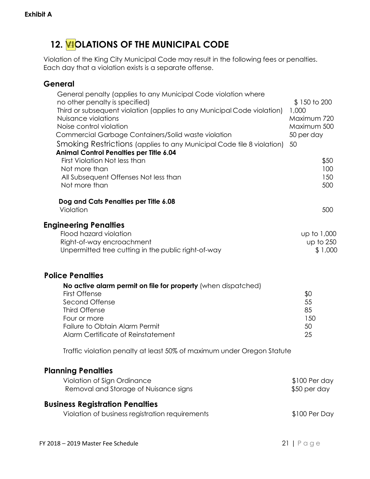# <span id="page-27-0"></span>**12. VIOLATIONS OF THE MUNICIPAL CODE**

Violation of the King City Municipal Code may result in the following fees or penalties. Each day that a violation exists is a separate offense.

#### <span id="page-27-1"></span>**General**

<span id="page-27-4"></span><span id="page-27-3"></span><span id="page-27-2"></span>

| \$150 to 200<br>1,000<br>Maximum 720<br>Maximum 500<br>50 per day<br>50 |
|-------------------------------------------------------------------------|
| \$50<br>100<br>150<br>500                                               |
| 500                                                                     |
| up to 1,000<br>up to 250<br>\$1,000                                     |
|                                                                         |
| \$0<br>55<br>85<br>150<br>50<br>25                                      |
| Traffic violation penalty at least 50% of maximum under Oregon Statute  |
| $$100$ Per day<br>\$50 per day                                          |
| \$100 Per Day                                                           |
|                                                                         |